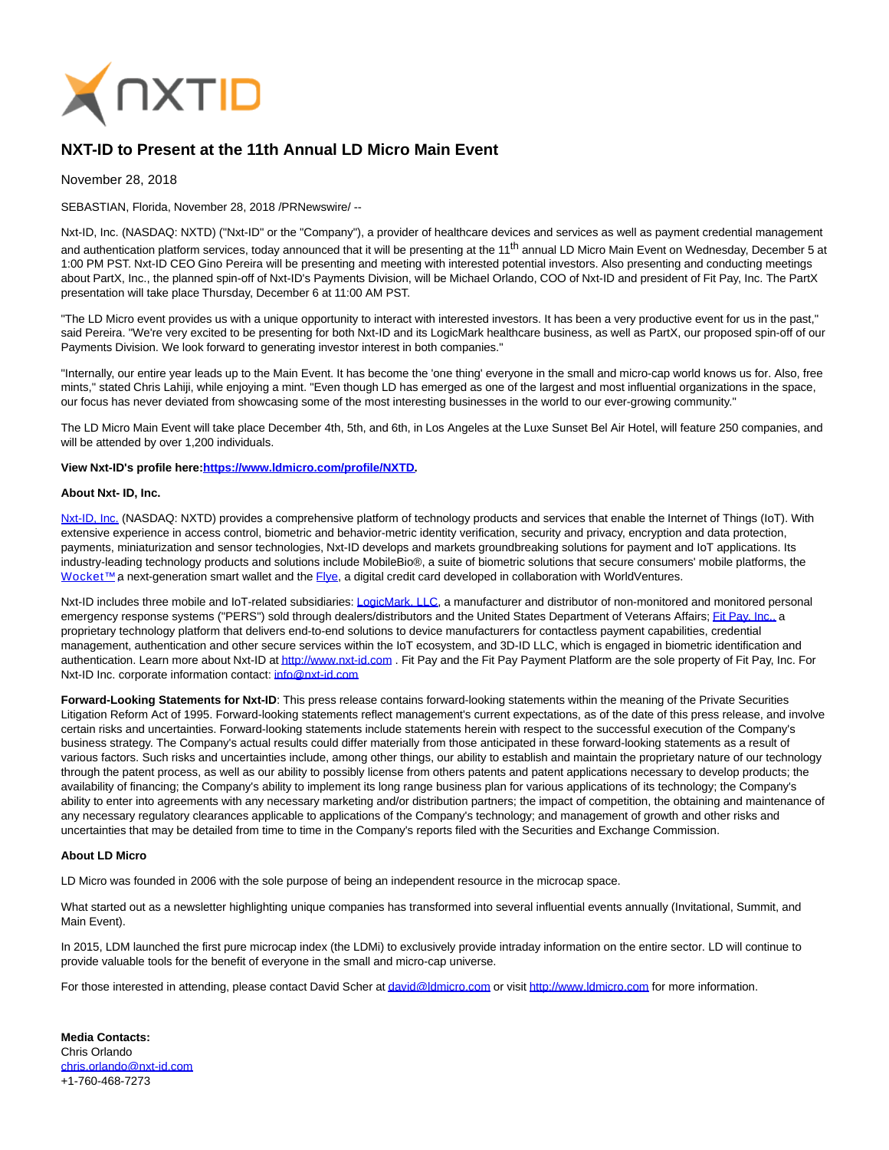

## **NXT-ID to Present at the 11th Annual LD Micro Main Event**

November 28, 2018

SEBASTIAN, Florida, November 28, 2018 /PRNewswire/ --

Nxt-ID, Inc. (NASDAQ: NXTD) ("Nxt-ID" or the "Company"), a provider of healthcare devices and services as well as payment credential management and authentication platform services, today announced that it will be presenting at the 11<sup>th</sup> annual LD Micro Main Event on Wednesday, December 5 at 1:00 PM PST. Nxt-ID CEO Gino Pereira will be presenting and meeting with interested potential investors. Also presenting and conducting meetings about PartX, Inc., the planned spin-off of Nxt-ID's Payments Division, will be Michael Orlando, COO of Nxt-ID and president of Fit Pay, Inc. The PartX presentation will take place Thursday, December 6 at 11:00 AM PST.

"The LD Micro event provides us with a unique opportunity to interact with interested investors. It has been a very productive event for us in the past," said Pereira. "We're very excited to be presenting for both Nxt-ID and its LogicMark healthcare business, as well as PartX, our proposed spin-off of our Payments Division. We look forward to generating investor interest in both companies."

"Internally, our entire year leads up to the Main Event. It has become the 'one thing' everyone in the small and micro-cap world knows us for. Also, free mints," stated Chris Lahiji, while enjoying a mint. "Even though LD has emerged as one of the largest and most influential organizations in the space, our focus has never deviated from showcasing some of the most interesting businesses in the world to our ever-growing community."

The LD Micro Main Event will take place December 4th, 5th, and 6th, in Los Angeles at the Luxe Sunset Bel Air Hotel, will feature 250 companies, and will be attended by over 1,200 individuals.

**View Nxt-ID's profile here[:https://www.ldmicro.com/profile/NXTD.](https://www.ldmicro.com/profile/NXTD)**

## **About Nxt- ID, Inc.**

[Nxt-ID, Inc. \(](http://www.nxt-id.com/)NASDAQ: NXTD) provides a comprehensive platform of technology products and services that enable the Internet of Things (IoT). With extensive experience in access control, biometric and behavior-metric identity verification, security and privacy, encryption and data protection, payments, miniaturization and sensor technologies, Nxt-ID develops and markets groundbreaking solutions for payment and IoT applications. Its industry-leading technology products and solutions include MobileBio®, a suite of biometric solutions that secure consumers' mobile platforms, the Wocket™ a next-generation smart wallet and the [Flye,](https://www.flye.com/) a digital credit card developed in collaboration with WorldVentures.

Nxt-ID includes three mobile and IoT-related subsidiaries: [LogicMark, LLC,](https://www.logicmark.com/) a manufacturer and distributor of non-monitored and monitored personal emergency response systems ("PERS") sold through dealers/distributors and the United States Department of Veterans Affairs[; Fit Pay, Inc., a](http://www.fit-pay.com/) proprietary technology platform that delivers end-to-end solutions to device manufacturers for contactless payment capabilities, credential management, authentication and other secure services within the IoT ecosystem, and 3D-ID LLC, which is engaged in biometric identification and authentication. Learn more about Nxt-ID a[t http://www.nxt-id.com .](http://www.nxt-id.com/) Fit Pay and the Fit Pay Payment Platform are the sole property of Fit Pay, Inc. For Nxt-ID Inc. corporate information contact: [info@nxt-id.com](mailto:info@nxt-id.com)

**Forward-Looking Statements for Nxt-ID**: This press release contains forward-looking statements within the meaning of the Private Securities Litigation Reform Act of 1995. Forward-looking statements reflect management's current expectations, as of the date of this press release, and involve certain risks and uncertainties. Forward-looking statements include statements herein with respect to the successful execution of the Company's business strategy. The Company's actual results could differ materially from those anticipated in these forward-looking statements as a result of various factors. Such risks and uncertainties include, among other things, our ability to establish and maintain the proprietary nature of our technology through the patent process, as well as our ability to possibly license from others patents and patent applications necessary to develop products; the availability of financing; the Company's ability to implement its long range business plan for various applications of its technology; the Company's ability to enter into agreements with any necessary marketing and/or distribution partners; the impact of competition, the obtaining and maintenance of any necessary regulatory clearances applicable to applications of the Company's technology; and management of growth and other risks and uncertainties that may be detailed from time to time in the Company's reports filed with the Securities and Exchange Commission.

## **About LD Micro**

LD Micro was founded in 2006 with the sole purpose of being an independent resource in the microcap space.

What started out as a newsletter highlighting unique companies has transformed into several influential events annually (Invitational, Summit, and Main Event).

In 2015, LDM launched the first pure microcap index (the LDMi) to exclusively provide intraday information on the entire sector. LD will continue to provide valuable tools for the benefit of everyone in the small and micro-cap universe.

For those interested in attending, please contact David Scher a[t david@ldmicro.com o](mailto:david@ldmicro.com)r visit [http://www.ldmicro.com f](http://www.ldmicro.com/)or more information.

**Media Contacts:** Chris Orlando [chris.orlando@nxt-id.com](mailto:chris.orlando@nxt-id.com) +1-760-468-7273